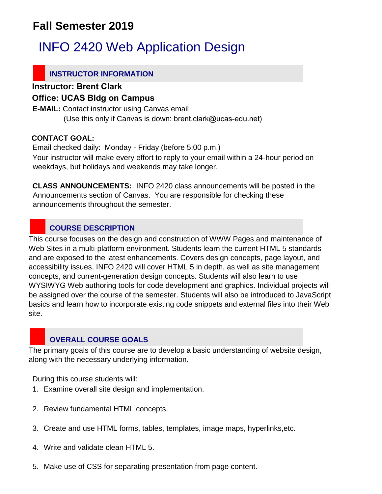# **Fall Semester 2019**

# INFO 2420 Web Application Design

#### **INSTRUCTOR INFORMATION**

#### **Instructor: Brent Clark**

#### **Office: UCAS Bldg on Campus**

**E-MAIL:** Contact instructor using Canvas email

(Use this only if Canvas is down: brent.clark@ucas-edu.net)

#### **CONTACT GOAL:**

Email checked daily: Monday - Friday (before 5:00 p.m.) Your instructor will make every effort to reply to your email within a 24-hour period on weekdays, but holidays and weekends may take longer.

**CLASS ANNOUNCEMENTS:** INFO 2420 class announcements will be posted in the Announcements section of Canvas. You are responsible for checking these announcements throughout the semester.

# **COURSE DESCRIPTION**

This course focuses on the design and construction of WWW Pages and maintenance of Web Sites in a multi-platform environment. Students learn the current HTML 5 standards and are exposed to the latest enhancements. Covers design concepts, page layout, and accessibility issues. INFO 2420 will cover HTML 5 in depth, as well as site management concepts, and current-generation design concepts. Students will also learn to use WYSIWYG Web authoring tools for code development and graphics. Individual projects will be assigned over the course of the semester. Students will also be introduced to JavaScript basics and learn how to incorporate existing code snippets and external files into their Web site.

#### **OVERALL COURSE GOALS**

The primary goals of this course are to develop a basic understanding of website design, along with the necessary underlying information.

During this course students will:

- 1. Examine overall site design and implementation.
- 2. Review fundamental HTML concepts.
- 3. Create and use HTML forms, tables, templates, image maps, hyperlinks,etc.
- 4. Write and validate clean HTML 5.
- 5. Make use of CSS for separating presentation from page content.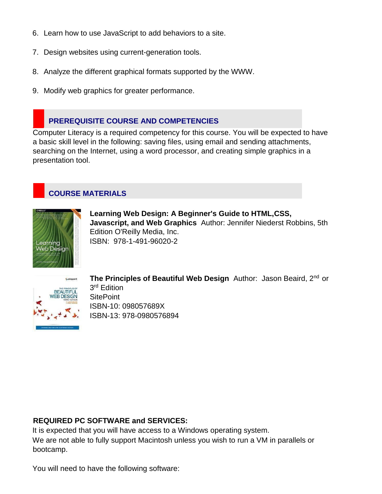- 6. Learn how to use JavaScript to add behaviors to a site.
- 7. Design websites using current-generation tools.
- 8. Analyze the different graphical formats supported by the WWW.
- 9. Modify web graphics for greater performance.

# **PREREQUISITE COURSE AND COMPETENCIES**

Computer Literacy is a required competency for this course. You will be expected to have a basic skill level in the following: saving files, using email and sending attachments, searching on the Internet, using a word processor, and creating simple graphics in a presentation tool.

# **COURSE MATERIALS**



**Learning Web Design: A Beginner's Guide to HTML,CSS, Javascript, and Web Graphics** Author: Jennifer Niederst Robbins, 5th Edition O'Reilly Media, Inc. ISBN: 978-1-491-96020-2



**The Principles of Beautiful Web Design** Author: Jason Beaird, 2nd or 3 rd Edition **SitePoint** ISBN-10: 098057689X ISBN-13: 978-0980576894

#### **REQUIRED PC SOFTWARE and SERVICES:**

It is expected that you will have access to a Windows operating system. We are not able to fully support Macintosh unless you wish to run a VM in parallels or bootcamp.

You will need to have the following software: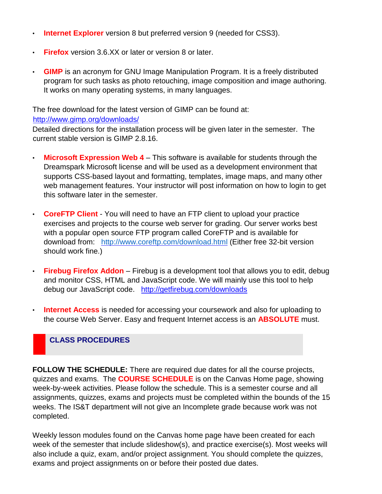- **Internet Explorer** version 8 but preferred version 9 (needed for CSS3).
- **Firefox** version 3.6.XX or later or version 8 or later.
- **GIMP** is an acronym for GNU Image Manipulation Program. It is a freely distributed program for such tasks as photo retouching, image composition and image authoring. It works on many operating systems, in many languages.

The free download for the latest version of GIMP can be found at: http://www.gimp.org/downloads/

Detailed directions for the installation process will be given later in the semester. The current stable version is GIMP 2.8.16.

- **Microsoft Expression Web 4** This software is available for students through the Dreamspark Microsoft license and will be used as a development environment that supports CSS-based layout and formatting, templates, image maps, and many other web management features. Your instructor will post information on how to login to get this software later in the semester.
- **CoreFTP Client** You will need to have an FTP client to upload your practice exercises and projects to the course web server for grading. Our server works best with a popular open source FTP program called CoreFTP and is available for download from: <http://www.coreftp.com/download.html> [\(E](http://www.coreftp.com/download.html)ither free 32-bit version should work fine.)
- **Firebug Firefox Addon**  Firebug is a development tool that allows you to edit, debug and monitor CSS, HTML and JavaScript code. We will mainly use this tool to help debug our JavaScript code. http://getfirebug.com/downloads
- **Internet Access** is needed for accessing your coursework and also for uploading to the course Web Server. Easy and frequent Internet access is an **ABSOLUTE** must.

#### **CLASS PROCEDURES**

**FOLLOW THE SCHEDULE:** There are required due dates for all the course projects, quizzes and exams. The **COURSE SCHEDULE** is on the Canvas Home page, showing week-by-week activities. Please follow the schedule. This is a semester course and all assignments, quizzes, exams and projects must be completed within the bounds of the 15 weeks. The IS&T department will not give an Incomplete grade because work was not completed.

Weekly lesson modules found on the Canvas home page have been created for each week of the semester that include slideshow(s), and practice exercise(s). Most weeks will also include a quiz, exam, and/or project assignment. You should complete the quizzes, exams and project assignments on or before their posted due dates.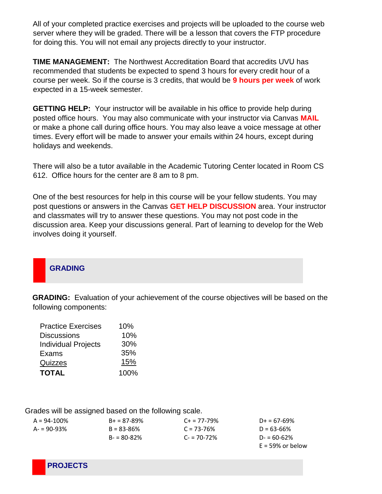All of your completed practice exercises and projects will be uploaded to the course web server where they will be graded. There will be a lesson that covers the FTP procedure for doing this. You will not email any projects directly to your instructor.

**TIME MANAGEMENT:** The Northwest Accreditation Board that accredits UVU has recommended that students be expected to spend 3 hours for every credit hour of a course per week. So if the course is 3 credits, that would be **9 hours per week** of work expected in a 15-week semester.

**GETTING HELP:** Your instructor will be available in his office to provide help during posted office hours. You may also communicate with your instructor via Canvas **MAIL**  or make a phone call during office hours. You may also leave a voice message at other times. Every effort will be made to answer your emails within 24 hours, except during holidays and weekends.

There will also be a tutor available in the Academic Tutoring Center located in Room CS 612. Office hours for the center are 8 am to 8 pm.

One of the best resources for help in this course will be your fellow students. You may post questions or answers in the Canvas **GET HELP DISCUSSION** area. Your instructor and classmates will try to answer these questions. You may not post code in the discussion area. Keep your discussions general. Part of learning to develop for the Web involves doing it yourself.

# **GRADING**

**GRADING:** Evaluation of your achievement of the course objectives will be based on the following components:

| <b>Practice Exercises</b>  | 10%  |
|----------------------------|------|
| <b>Discussions</b>         | 10%  |
| <b>Individual Projects</b> | 30%  |
| Exams                      | 35%  |
| Quizzes                    | 15%  |
| <b>TOTAL</b>               | 100% |

Grades will be assigned based on the following scale.

| $A = 94 - 100\%$ | $B+ = 87-89%$   | $C_{\pm}$ = 77-79%  | $D+ = 67-69\%$  |
|------------------|-----------------|---------------------|-----------------|
| $A = 90 - 93%$   | $B = 83 - 86%$  | $C = 73 - 76%$      | $D = 63 - 66\%$ |
|                  | $B - 80 - 82\%$ | $C = 70 - 72\%$     | $D = 60-62\%$   |
|                  |                 | $E = 59\%$ or below |                 |

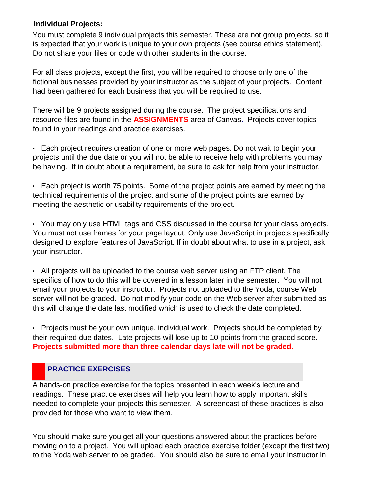#### **Individual Projects:**

You must complete 9 individual projects this semester. These are not group projects, so it is expected that your work is unique to your own projects (see course ethics statement). Do not share your files or code with other students in the course.

For all class projects, except the first, you will be required to choose only one of the fictional businesses provided by your instructor as the subject of your projects. Content had been gathered for each business that you will be required to use.

There will be 9 projects assigned during the course. The project specifications and resource files are found in the **ASSIGNMENTS** area of Canvas**.** Projects cover topics found in your readings and practice exercises.

• Each project requires creation of one or more web pages. Do not wait to begin your projects until the due date or you will not be able to receive help with problems you may be having. If in doubt about a requirement, be sure to ask for help from your instructor.

• Each project is worth 75 points. Some of the project points are earned by meeting the technical requirements of the project and some of the project points are earned by meeting the aesthetic or usability requirements of the project.

• You may only use HTML tags and CSS discussed in the course for your class projects. You must not use frames for your page layout. Only use JavaScript in projects specifically designed to explore features of JavaScript. If in doubt about what to use in a project, ask your instructor.

• All projects will be uploaded to the course web server using an FTP client. The specifics of how to do this will be covered in a lesson later in the semester. You will not email your projects to your instructor. Projects not uploaded to the Yoda, course Web server will not be graded. Do not modify your code on the Web server after submitted as this will change the date last modified which is used to check the date completed.

• Projects must be your own unique, individual work. Projects should be completed by their required due dates. Late projects will lose up to 10 points from the graded score. **Projects submitted more than three calendar days late will not be graded.**

#### **PRACTICE EXERCISES**

A hands-on practice exercise for the topics presented in each week's lecture and readings. These practice exercises will help you learn how to apply important skills needed to complete your projects this semester. A screencast of these practices is also provided for those who want to view them.

You should make sure you get all your questions answered about the practices before moving on to a project. You will upload each practice exercise folder (except the first two) to the Yoda web server to be graded. You should also be sure to email your instructor in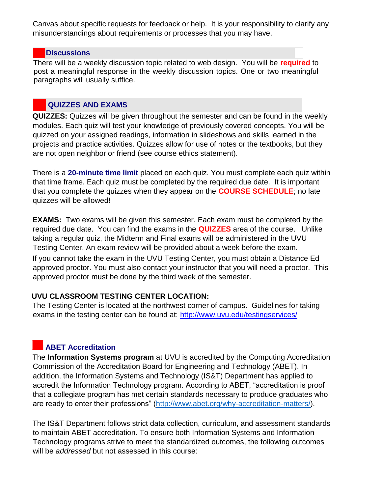Canvas about specific requests for feedback or help. It is your responsibility to clarify any misunderstandings about requirements or processes that you may have.

#### **Discussions**

There will be a weekly discussion topic related to web design. You will be **required** to post a meaningful response in the weekly discussion topics. One or two meaningful paragraphs will usually suffice.

#### **QUIZZES AND EXAMS**

**QUIZZES:** Quizzes will be given throughout the semester and can be found in the weekly modules. Each quiz will test your knowledge of previously covered concepts. You will be quizzed on your assigned readings, information in slideshows and skills learned in the projects and practice activities. Quizzes allow for use of notes or the textbooks, but they are not open neighbor or friend (see course ethics statement).

There is a **20-minute time limit** placed on each quiz. You must complete each quiz within that time frame. Each quiz must be completed by the required due date. It is important that you complete the quizzes when they appear on the **COURSE SCHEDULE**; no late quizzes will be allowed!

**EXAMS:** Two exams will be given this semester. Each exam must be completed by the required due date. You can find the exams in the **QUIZZES** area of the course. Unlike taking a regular quiz, the Midterm and Final exams will be administered in the UVU Testing Center. An exam review will be provided about a week before the exam. If you cannot take the exam in the UVU Testing Center, you must obtain a Distance Ed approved proctor. You must also contact your instructor that you will need a proctor. This approved proctor must be done by the third week of the semester.

#### **UVU CLASSROOM TESTING CENTER LOCATION:**

The Testing Center is located at the northwest corner of campus. Guidelines for taking exams in the testing center can be found at: http://www.uvu.edu/testingservices/

# **ABET Accreditation**

The **Information Systems program** at UVU is accredited by the Computing Accreditation Commission of the Accreditation Board for Engineering and Technology (ABET). In addition, the Information Systems and Technology (IS&T) Department has applied to accredit the Information Technology program. According to ABET, "accreditation is proof that a collegiate program has met certain standards necessary to produce graduates who are ready to enter their professions" [\(http://www.abet.org/why-accreditation-matters/\).](http://www.abet.org/why-accreditation-matters/)

The IS&T Department follows strict data collection, curriculum, and assessment standards to maintain ABET accreditation. To ensure both Information Systems and Information Technology programs strive to meet the standardized outcomes, the following outcomes will be *addressed* but not assessed in this course: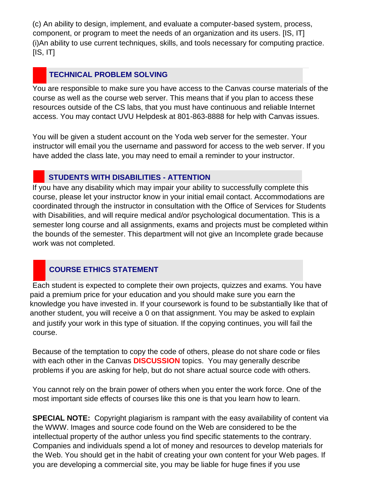(c) An ability to design, implement, and evaluate a computer-based system, process, component, or program to meet the needs of an organization and its users. [IS, IT] (i)An ability to use current techniques, skills, and tools necessary for computing practice.  $[IS, IT]$ 

# **TECHNICAL PROBLEM SOLVING**

You are responsible to make sure you have access to the Canvas course materials of the course as well as the course web server. This means that if you plan to access these resources outside of the CS labs, that you must have continuous and reliable Internet access. You may contact UVU Helpdesk at 801-863-8888 for help with Canvas issues.

You will be given a student account on the Yoda web server for the semester. Your instructor will email you the username and password for access to the web server. If you have added the class late, you may need to email a reminder to your instructor.

# **STUDENTS WITH DISABILITIES - ATTENTION**

If you have any disability which may impair your ability to successfully complete this course, please let your instructor know in your initial email contact. Accommodations are coordinated through the instructor in consultation with the Office of Services for Students with Disabilities, and will require medical and/or psychological documentation. This is a semester long course and all assignments, exams and projects must be completed within the bounds of the semester. This department will not give an Incomplete grade because work was not completed.

# **COURSE ETHICS STATEMENT**

Each student is expected to complete their own projects, quizzes and exams. You have paid a premium price for your education and you should make sure you earn the knowledge you have invested in. If your coursework is found to be substantially like that of another student, you will receive a 0 on that assignment. You may be asked to explain and justify your work in this type of situation. If the copying continues, you will fail the course.

Because of the temptation to copy the code of others, please do not share code or files with each other in the Canvas **DISCUSSION** topics. You may generally describe problems if you are asking for help, but do not share actual source code with others.

You cannot rely on the brain power of others when you enter the work force. One of the most important side effects of courses like this one is that you learn how to learn.

**SPECIAL NOTE:** Copyright plagiarism is rampant with the easy availability of content via the WWW. Images and source code found on the Web are considered to be the intellectual property of the author unless you find specific statements to the contrary. Companies and individuals spend a lot of money and resources to develop materials for the Web. You should get in the habit of creating your own content for your Web pages. If you are developing a commercial site, you may be liable for huge fines if you use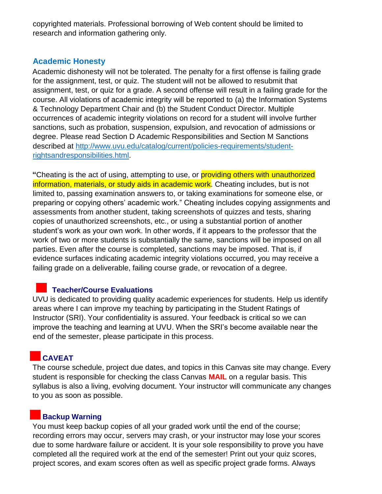copyrighted materials. Professional borrowing of Web content should be limited to research and information gathering only.

#### **Academic Honesty**

Academic dishonesty will not be tolerated. The penalty for a first offense is failing grade for the assignment, test, or quiz. The student will not be allowed to resubmit that assignment, test, or quiz for a grade. A second offense will result in a failing grade for the course. All violations of academic integrity will be reported to (a) the Information Systems & Technology Department Chair and (b) the Student Conduct Director. Multiple occurrences of academic integrity violations on record for a student will involve further sanctions, such as probation, suspension, expulsion, and revocation of admissions or degree. Please read Section D Academic Responsibilities and Section M Sanctions described at [http://www.uvu.edu/catalog/current/policies-requirements/student](http://www.uvu.edu/catalog/current/policies-requirements/student-rights-and-responsibilities.html)[rightsandresponsibilities.html.](http://www.uvu.edu/catalog/current/policies-requirements/student-rights-and-responsibilities.html)

**"**Cheating is the act of using, attempting to use, or providing others with unauthorized information, materials, or study aids in academic work. Cheating includes, but is not limited to, passing examination answers to, or taking examinations for someone else, or preparing or copying others' academic work." Cheating includes copying assignments and assessments from another student, taking screenshots of quizzes and tests, sharing copies of unauthorized screenshots, etc., or using a substantial portion of another student's work as your own work. In other words, if it appears to the professor that the work of two or more students is substantially the same, sanctions will be imposed on all parties. Even after the course is completed, sanctions may be imposed. That is, if evidence surfaces indicating academic integrity violations occurred, you may receive a failing grade on a deliverable, failing course grade, or revocation of a degree.

#### **Teacher/Course Evaluations**

UVU is dedicated to providing quality academic experiences for students. Help us identify areas where I can improve my teaching by participating in the Student Ratings of Instructor (SRI). Your confidentiality is assured. Your feedback is critical so we can improve the teaching and learning at UVU. When the SRI's become available near the end of the semester, please participate in this process.

# **CAVEAT**

The course schedule, project due dates, and topics in this Canvas site may change. Every student is responsible for checking the class Canvas **MAIL** on a regular basis. This syllabus is also a living, evolving document. Your instructor will communicate any changes to you as soon as possible.

# **Backup Warning**

You must keep backup copies of all your graded work until the end of the course; recording errors may occur, servers may crash, or your instructor may lose your scores due to some hardware failure or accident. It is your sole responsibility to prove you have completed all the required work at the end of the semester! Print out your quiz scores, project scores, and exam scores often as well as specific project grade forms. Always